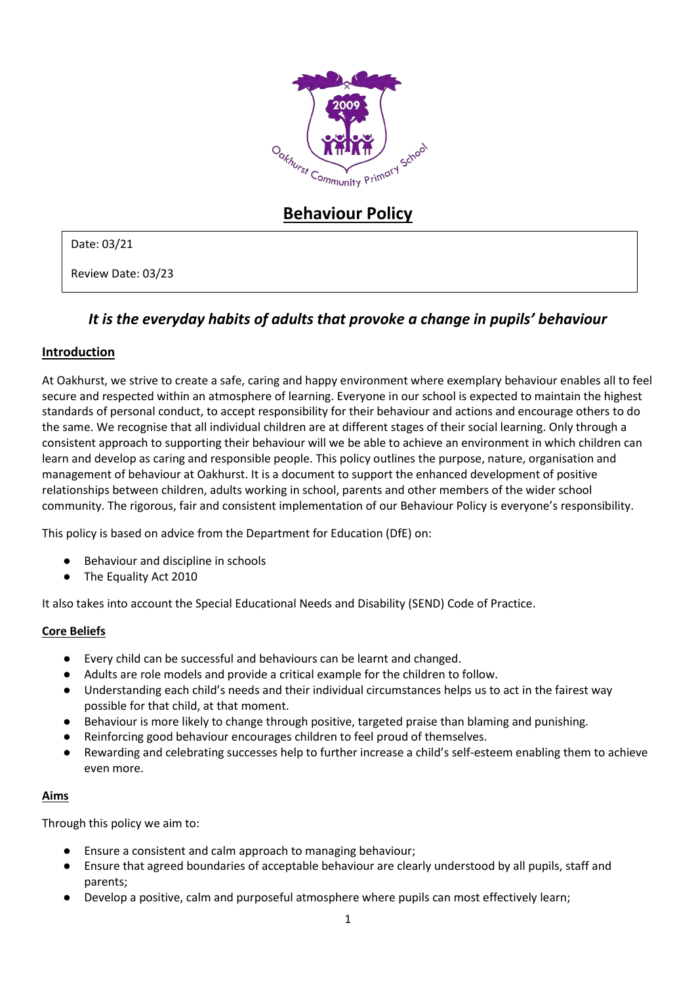

# **Behaviour Policy**

## Date: 03/21

Review Date: 03/23

## *It is the everyday habits of adults that provoke a change in pupils' behaviour*

## **Introduction**

At Oakhurst, we strive to create a safe, caring and happy environment where exemplary behaviour enables all to feel secure and respected within an atmosphere of learning. Everyone in our school is expected to maintain the highest standards of personal conduct, to accept responsibility for their behaviour and actions and encourage others to do the same. We recognise that all individual children are at different stages of their social learning. Only through a consistent approach to supporting their behaviour will we be able to achieve an environment in which children can learn and develop as caring and responsible people. This policy outlines the purpose, nature, organisation and management of behaviour at Oakhurst. It is a document to support the enhanced development of positive relationships between children, adults working in school, parents and other members of the wider school community. The rigorous, fair and consistent implementation of our Behaviour Policy is everyone's responsibility.

This policy is based on advice from the Department for Education (DfE) on:

- Behaviour and discipline in schools
- The Equality Act 2010

It also takes into account the Special Educational Needs and Disability (SEND) Code of Practice.

## **Core Beliefs**

- Every child can be successful and behaviours can be learnt and changed.
- Adults are role models and provide a critical example for the children to follow.
- Understanding each child's needs and their individual circumstances helps us to act in the fairest way possible for that child, at that moment.
- Behaviour is more likely to change through positive, targeted praise than blaming and punishing.
- Reinforcing good behaviour encourages children to feel proud of themselves.
- Rewarding and celebrating successes help to further increase a child's self-esteem enabling them to achieve even more.

#### **Aims**

Through this policy we aim to:

- Ensure a consistent and calm approach to managing behaviour;
- Ensure that agreed boundaries of acceptable behaviour are clearly understood by all pupils, staff and parents;
- Develop a positive, calm and purposeful atmosphere where pupils can most effectively learn;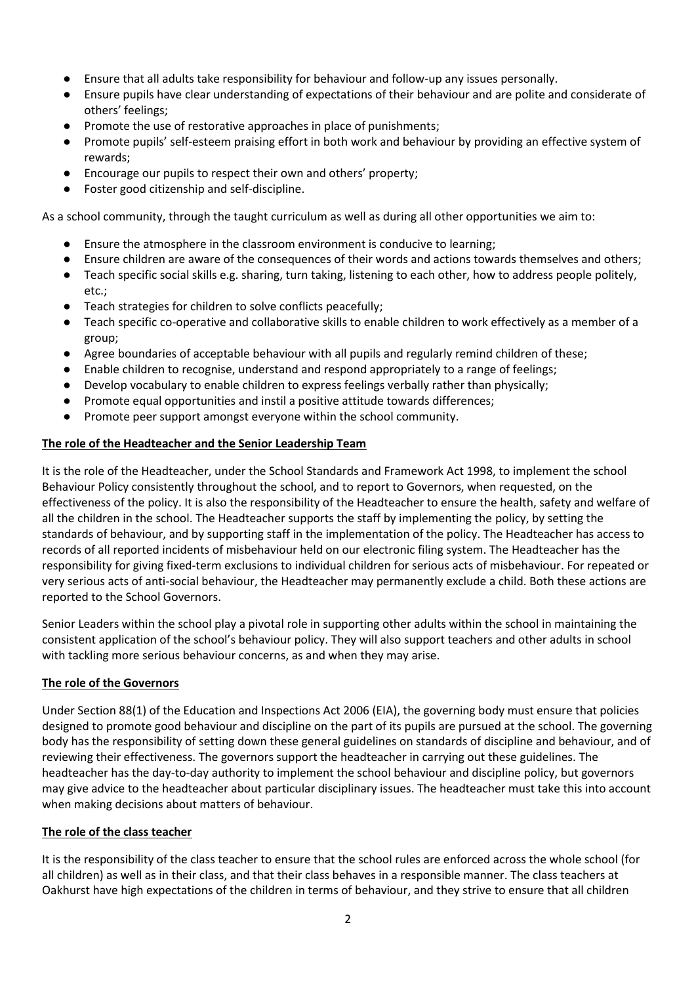- Ensure that all adults take responsibility for behaviour and follow-up any issues personally.
- Ensure pupils have clear understanding of expectations of their behaviour and are polite and considerate of others' feelings;
- Promote the use of restorative approaches in place of punishments;
- Promote pupils' self-esteem praising effort in both work and behaviour by providing an effective system of rewards;
- Encourage our pupils to respect their own and others' property;
- Foster good citizenship and self-discipline.

As a school community, through the taught curriculum as well as during all other opportunities we aim to:

- Ensure the atmosphere in the classroom environment is conducive to learning;
- Ensure children are aware of the consequences of their words and actions towards themselves and others;
- Teach specific social skills e.g. sharing, turn taking, listening to each other, how to address people politely, etc.;
- Teach strategies for children to solve conflicts peacefully;
- Teach specific co-operative and collaborative skills to enable children to work effectively as a member of a group;
- Agree boundaries of acceptable behaviour with all pupils and regularly remind children of these;
- Enable children to recognise, understand and respond appropriately to a range of feelings;
- Develop vocabulary to enable children to express feelings verbally rather than physically;
- Promote equal opportunities and instil a positive attitude towards differences;
- Promote peer support amongst everyone within the school community.

## **The role of the Headteacher and the Senior Leadership Team**

It is the role of the Headteacher, under the School Standards and Framework Act 1998, to implement the school Behaviour Policy consistently throughout the school, and to report to Governors, when requested, on the effectiveness of the policy. It is also the responsibility of the Headteacher to ensure the health, safety and welfare of all the children in the school. The Headteacher supports the staff by implementing the policy, by setting the standards of behaviour, and by supporting staff in the implementation of the policy. The Headteacher has access to records of all reported incidents of misbehaviour held on our electronic filing system. The Headteacher has the responsibility for giving fixed-term exclusions to individual children for serious acts of misbehaviour. For repeated or very serious acts of anti-social behaviour, the Headteacher may permanently exclude a child. Both these actions are reported to the School Governors.

Senior Leaders within the school play a pivotal role in supporting other adults within the school in maintaining the consistent application of the school's behaviour policy. They will also support teachers and other adults in school with tackling more serious behaviour concerns, as and when they may arise.

## **The role of the Governors**

Under Section 88(1) of the Education and Inspections Act 2006 (EIA), the governing body must ensure that policies designed to promote good behaviour and discipline on the part of its pupils are pursued at the school. The governing body has the responsibility of setting down these general guidelines on standards of discipline and behaviour, and of reviewing their effectiveness. The governors support the headteacher in carrying out these guidelines. The headteacher has the day-to-day authority to implement the school behaviour and discipline policy, but governors may give advice to the headteacher about particular disciplinary issues. The headteacher must take this into account when making decisions about matters of behaviour.

## **The role of the class teacher**

It is the responsibility of the class teacher to ensure that the school rules are enforced across the whole school (for all children) as well as in their class, and that their class behaves in a responsible manner. The class teachers at Oakhurst have high expectations of the children in terms of behaviour, and they strive to ensure that all children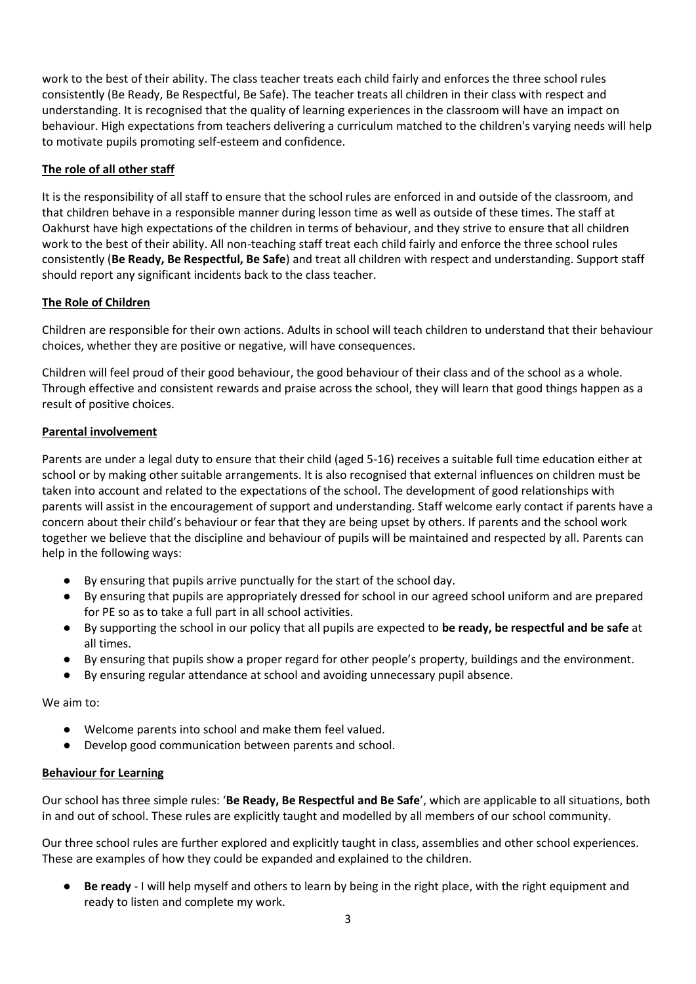work to the best of their ability. The class teacher treats each child fairly and enforces the three school rules consistently (Be Ready, Be Respectful, Be Safe). The teacher treats all children in their class with respect and understanding. It is recognised that the quality of learning experiences in the classroom will have an impact on behaviour. High expectations from teachers delivering a curriculum matched to the children's varying needs will help to motivate pupils promoting self-esteem and confidence.

## **The role of all other staff**

It is the responsibility of all staff to ensure that the school rules are enforced in and outside of the classroom, and that children behave in a responsible manner during lesson time as well as outside of these times. The staff at Oakhurst have high expectations of the children in terms of behaviour, and they strive to ensure that all children work to the best of their ability. All non-teaching staff treat each child fairly and enforce the three school rules consistently (**Be Ready, Be Respectful, Be Safe**) and treat all children with respect and understanding. Support staff should report any significant incidents back to the class teacher.

## **The Role of Children**

Children are responsible for their own actions. Adults in school will teach children to understand that their behaviour choices, whether they are positive or negative, will have consequences.

Children will feel proud of their good behaviour, the good behaviour of their class and of the school as a whole. Through effective and consistent rewards and praise across the school, they will learn that good things happen as a result of positive choices.

#### **Parental involvement**

Parents are under a legal duty to ensure that their child (aged 5-16) receives a suitable full time education either at school or by making other suitable arrangements. It is also recognised that external influences on children must be taken into account and related to the expectations of the school. The development of good relationships with parents will assist in the encouragement of support and understanding. Staff welcome early contact if parents have a concern about their child's behaviour or fear that they are being upset by others. If parents and the school work together we believe that the discipline and behaviour of pupils will be maintained and respected by all. Parents can help in the following ways:

- By ensuring that pupils arrive punctually for the start of the school day.
- By ensuring that pupils are appropriately dressed for school in our agreed school uniform and are prepared for PE so as to take a full part in all school activities.
- By supporting the school in our policy that all pupils are expected to **be ready, be respectful and be safe** at all times.
- By ensuring that pupils show a proper regard for other people's property, buildings and the environment.
- By ensuring regular attendance at school and avoiding unnecessary pupil absence.

We aim to:

- Welcome parents into school and make them feel valued.
- Develop good communication between parents and school.

## **Behaviour for Learning**

Our school has three simple rules: '**Be Ready, Be Respectful and Be Safe**', which are applicable to all situations, both in and out of school. These rules are explicitly taught and modelled by all members of our school community.

Our three school rules are further explored and explicitly taught in class, assemblies and other school experiences. These are examples of how they could be expanded and explained to the children.

**Be ready** - I will help myself and others to learn by being in the right place, with the right equipment and ready to listen and complete my work.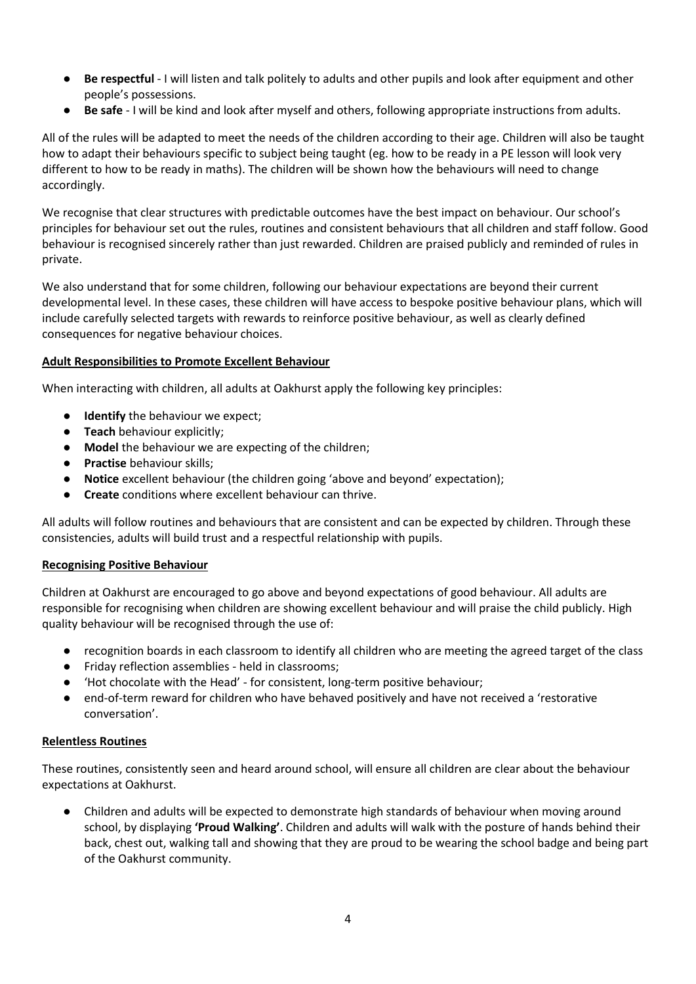- **Be respectful** I will listen and talk politely to adults and other pupils and look after equipment and other people's possessions.
- **Be safe** I will be kind and look after myself and others, following appropriate instructions from adults.

All of the rules will be adapted to meet the needs of the children according to their age. Children will also be taught how to adapt their behaviours specific to subject being taught (eg. how to be ready in a PE lesson will look very different to how to be ready in maths). The children will be shown how the behaviours will need to change accordingly.

We recognise that clear structures with predictable outcomes have the best impact on behaviour. Our school's principles for behaviour set out the rules, routines and consistent behaviours that all children and staff follow. Good behaviour is recognised sincerely rather than just rewarded. Children are praised publicly and reminded of rules in private.

We also understand that for some children, following our behaviour expectations are beyond their current developmental level. In these cases, these children will have access to bespoke positive behaviour plans, which will include carefully selected targets with rewards to reinforce positive behaviour, as well as clearly defined consequences for negative behaviour choices.

#### **Adult Responsibilities to Promote Excellent Behaviour**

When interacting with children, all adults at Oakhurst apply the following key principles:

- **Identify** the behaviour we expect;
- **Teach** behaviour explicitly;
- **Model** the behaviour we are expecting of the children;
- **Practise** behaviour skills;
- **Notice** excellent behaviour (the children going 'above and beyond' expectation);
- **Create** conditions where excellent behaviour can thrive.

All adults will follow routines and behaviours that are consistent and can be expected by children. Through these consistencies, adults will build trust and a respectful relationship with pupils.

## **Recognising Positive Behaviour**

Children at Oakhurst are encouraged to go above and beyond expectations of good behaviour. All adults are responsible for recognising when children are showing excellent behaviour and will praise the child publicly. High quality behaviour will be recognised through the use of:

- recognition boards in each classroom to identify all children who are meeting the agreed target of the class
- Friday reflection assemblies held in classrooms;
- 'Hot chocolate with the Head' for consistent, long-term positive behaviour;
- end-of-term reward for children who have behaved positively and have not received a 'restorative conversation'.

## **Relentless Routines**

These routines, consistently seen and heard around school, will ensure all children are clear about the behaviour expectations at Oakhurst.

Children and adults will be expected to demonstrate high standards of behaviour when moving around school, by displaying **'Proud Walking'**. Children and adults will walk with the posture of hands behind their back, chest out, walking tall and showing that they are proud to be wearing the school badge and being part of the Oakhurst community.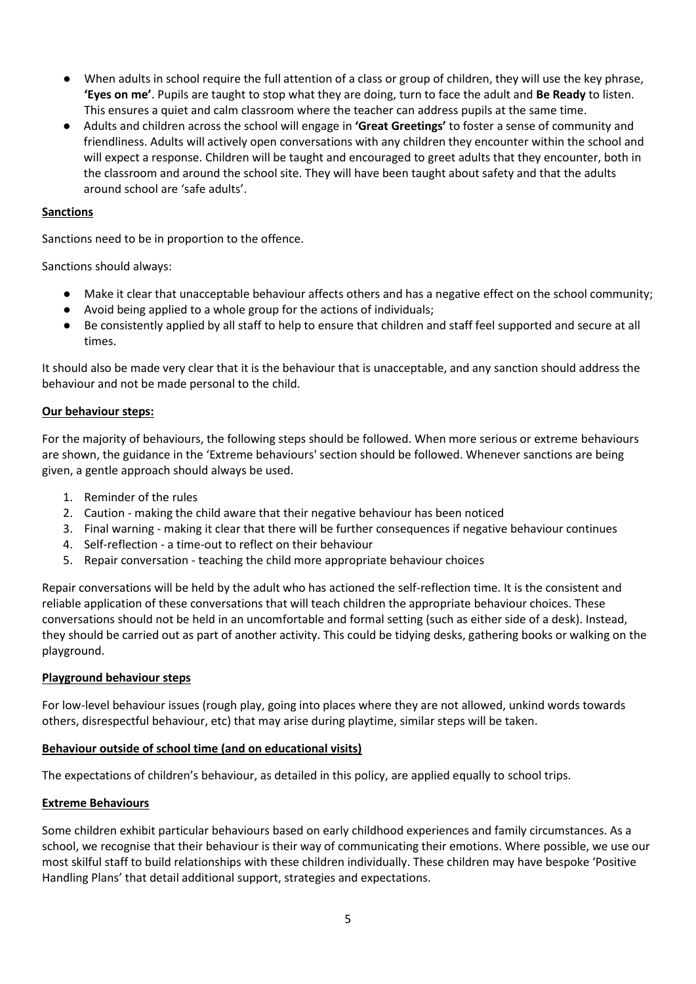- When adults in school require the full attention of a class or group of children, they will use the key phrase, **'Eyes on me'**. Pupils are taught to stop what they are doing, turn to face the adult and **Be Ready** to listen. This ensures a quiet and calm classroom where the teacher can address pupils at the same time.
- Adults and children across the school will engage in **'Great Greetings'** to foster a sense of community and friendliness. Adults will actively open conversations with any children they encounter within the school and will expect a response. Children will be taught and encouraged to greet adults that they encounter, both in the classroom and around the school site. They will have been taught about safety and that the adults around school are 'safe adults'.

### **Sanctions**

Sanctions need to be in proportion to the offence.

Sanctions should always:

- Make it clear that unacceptable behaviour affects others and has a negative effect on the school community;
- Avoid being applied to a whole group for the actions of individuals;
- Be consistently applied by all staff to help to ensure that children and staff feel supported and secure at all times.

It should also be made very clear that it is the behaviour that is unacceptable, and any sanction should address the behaviour and not be made personal to the child.

#### **Our behaviour steps:**

For the majority of behaviours, the following steps should be followed. When more serious or extreme behaviours are shown, the guidance in the 'Extreme behaviours' section should be followed. Whenever sanctions are being given, a gentle approach should always be used.

- 1. Reminder of the rules
- 2. Caution making the child aware that their negative behaviour has been noticed
- 3. Final warning making it clear that there will be further consequences if negative behaviour continues
- 4. Self-reflection a time-out to reflect on their behaviour
- 5. Repair conversation teaching the child more appropriate behaviour choices

Repair conversations will be held by the adult who has actioned the self-reflection time. It is the consistent and reliable application of these conversations that will teach children the appropriate behaviour choices. These conversations should not be held in an uncomfortable and formal setting (such as either side of a desk). Instead, they should be carried out as part of another activity. This could be tidying desks, gathering books or walking on the playground.

#### **Playground behaviour steps**

For low-level behaviour issues (rough play, going into places where they are not allowed, unkind words towards others, disrespectful behaviour, etc) that may arise during playtime, similar steps will be taken.

#### **Behaviour outside of school time (and on educational visits)**

The expectations of children's behaviour, as detailed in this policy, are applied equally to school trips.

#### **Extreme Behaviours**

Some children exhibit particular behaviours based on early childhood experiences and family circumstances. As a school, we recognise that their behaviour is their way of communicating their emotions. Where possible, we use our most skilful staff to build relationships with these children individually. These children may have bespoke 'Positive Handling Plans' that detail additional support, strategies and expectations.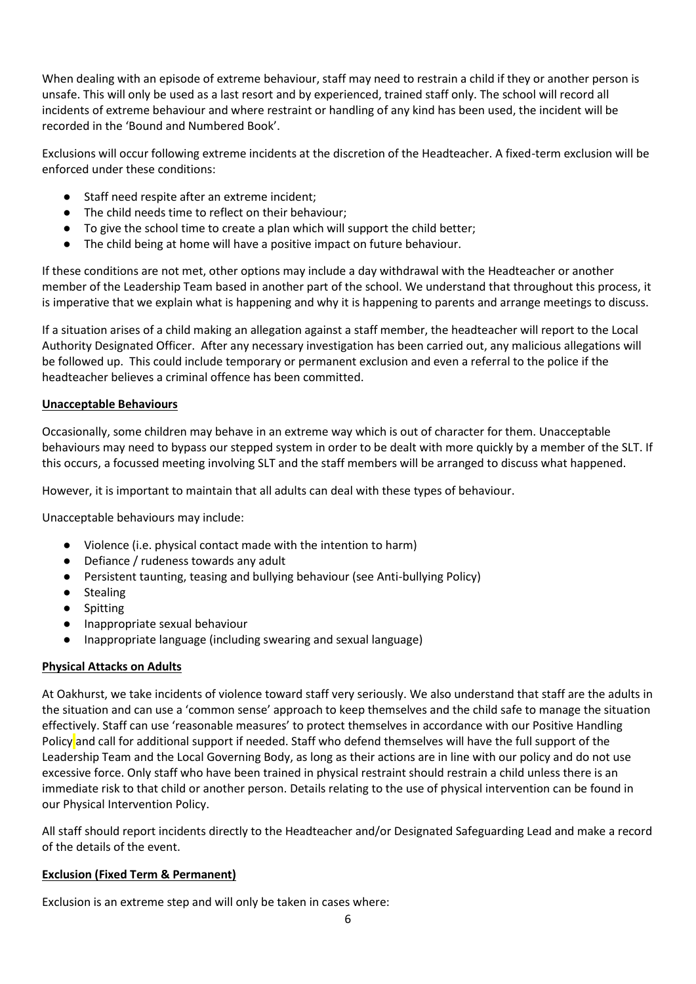When dealing with an episode of extreme behaviour, staff may need to restrain a child if they or another person is unsafe. This will only be used as a last resort and by experienced, trained staff only. The school will record all incidents of extreme behaviour and where restraint or handling of any kind has been used, the incident will be recorded in the 'Bound and Numbered Book'.

Exclusions will occur following extreme incidents at the discretion of the Headteacher. A fixed-term exclusion will be enforced under these conditions:

- Staff need respite after an extreme incident;
- The child needs time to reflect on their behaviour;
- To give the school time to create a plan which will support the child better;
- The child being at home will have a positive impact on future behaviour.

If these conditions are not met, other options may include a day withdrawal with the Headteacher or another member of the Leadership Team based in another part of the school. We understand that throughout this process, it is imperative that we explain what is happening and why it is happening to parents and arrange meetings to discuss.

If a situation arises of a child making an allegation against a staff member, the headteacher will report to the Local Authority Designated Officer. After any necessary investigation has been carried out, any malicious allegations will be followed up. This could include temporary or permanent exclusion and even a referral to the police if the headteacher believes a criminal offence has been committed.

#### **Unacceptable Behaviours**

Occasionally, some children may behave in an extreme way which is out of character for them. Unacceptable behaviours may need to bypass our stepped system in order to be dealt with more quickly by a member of the SLT. If this occurs, a focussed meeting involving SLT and the staff members will be arranged to discuss what happened.

However, it is important to maintain that all adults can deal with these types of behaviour.

Unacceptable behaviours may include:

- Violence (i.e. physical contact made with the intention to harm)
- Defiance / rudeness towards any adult
- Persistent taunting, teasing and bullying behaviour (see Anti-bullying Policy)
- Stealing
- Spitting
- Inappropriate sexual behaviour
- Inappropriate language (including swearing and sexual language)

## **Physical Attacks on Adults**

At Oakhurst, we take incidents of violence toward staff very seriously. We also understand that staff are the adults in the situation and can use a 'common sense' approach to keep themselves and the child safe to manage the situation effectively. Staff can use 'reasonable measures' to protect themselves in accordance with our Positive Handling Policy and call for additional support if needed. Staff who defend themselves will have the full support of the Leadership Team and the Local Governing Body, as long as their actions are in line with our policy and do not use excessive force. Only staff who have been trained in physical restraint should restrain a child unless there is an immediate risk to that child or another person. Details relating to the use of physical intervention can be found in our Physical Intervention Policy.

All staff should report incidents directly to the Headteacher and/or Designated Safeguarding Lead and make a record of the details of the event.

## **Exclusion (Fixed Term & Permanent)**

Exclusion is an extreme step and will only be taken in cases where: